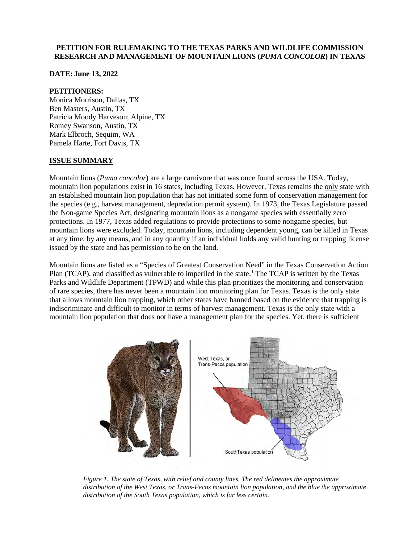### **PETITION FOR RULEMAKING TO THE TEXAS PARKS AND WILDLIFE COMMISSION RESEARCH AND MANAGEMENT OF MOUNTAIN LIONS (***PUMA CONCOLOR***) IN TEXAS**

**DATE: June 13, 2022**

#### **PETITIONERS:**

Monica Morrison, Dallas, TX Ben Masters, Austin, TX Patricia Moody Harveson; Alpine, TX Romey Swanson, Austin, TX Mark Elbroch, Sequim, WA Pamela Harte, Fort Davis, TX

### **ISSUE SUMMARY**

Mountain lions (*Puma concolor*) are a large carnivore that was once found across the USA. Today, mountain lion populations exist in 16 states, including Texas. However, Texas remains the only state with an established mountain lion population that has not initiated some form of conservation management for the species (e.g., harvest management, depredation permit system). In 1973, the Texas Legislature passed the Non-game Species Act, designating mountain lions as a nongame species with essentially zero protections. In 1977, Texas added regulations to provide protections to some nongame species, but mountain lions were excluded. Today, mountain lions, including dependent young, can be killed in Texas at any time, by any means, and in any quantity if an individual holds any valid hunting or trapping license issued by the state and has permission to be on the land.

Mountain lions are listed as a "Species of Greatest Conservation Need" in the Texas Conservation Action Plan (TCAP), and classified as vulnerable to imperiled in the state.<sup>1</sup> The TCAP is written by the Texas Parks and Wildlife Department (TPWD) and while this plan prioritizes the monitoring and conservation of rare species, there has never been a mountain lion monitoring plan for Texas. Texas is the only state that allows mountain lion trapping, which other states have banned based on the evidence that trapping is indiscriminate and difficult to monitor in terms of harvest management. Texas is the only state with a mountain lion population that does not have a management plan for the species. Yet, there is sufficient



*Figure 1. The state of Texas, with relief and county lines. The red delineates the approximate distribution of the West Texas, or Trans-Pecos mountain lion population, and the blue the approximate distribution of the South Texas population, which is far less certain.*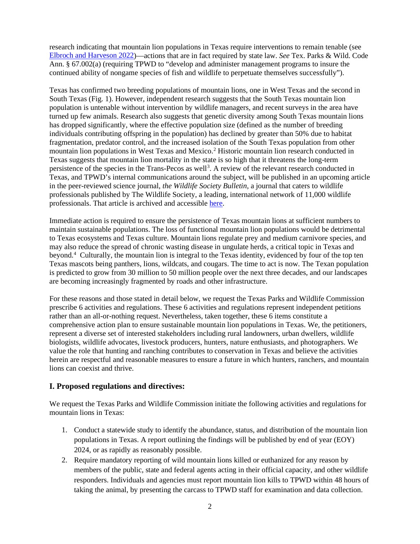research indicating that mountain lion populations in Texas require interventions to remain tenable (see [Elbroch and Harveson 2022\)](https://ecoevorxiv.org/cfnu6/)—actions that are in fact required by state law. *See* Tex. Parks & Wild. Code Ann. § 67.002(a) (requiring TPWD to "develop and administer management programs to insure the continued ability of nongame species of fish and wildlife to perpetuate themselves successfully").

Texas has confirmed two breeding populations of mountain lions, one in West Texas and the second in South Texas (Fig. 1). However, independent research suggests that the South Texas mountain lion population is untenable without intervention by wildlife managers, and recent surveys in the area have turned up few animals. Research also suggests that genetic diversity among South Texas mountain lions has dropped significantly, where the effective population size (defined as the number of breeding individuals contributing offspring in the population) has declined by greater than 50% due to habitat fragmentation, predator control, and the increased isolation of the South Texas population from other mountain lion populations in West Texas and Mexico.<sup>2</sup> Historic mountain lion research conducted in Texas suggests that mountain lion mortality in the state is so high that it threatens the long-term persistence of the species in the Trans-Pecos as well<sup>[3](#page-6-2)</sup>. A review of the relevant research conducted in Texas, and TPWD's internal communications around the subject, will be published in an upcoming article in the peer-reviewed science journal, *the Wildlife Society Bulletin*, a journal that caters to wildlife professionals published by The Wildlife Society, a leading, international network of 11,000 wildlife professionals. That article is archived and accessible [here.](https://ecoevorxiv.org/cfnu6/)

Immediate action is required to ensure the persistence of Texas mountain lions at sufficient numbers to maintain sustainable populations. The loss of functional mountain lion populations would be detrimental to Texas ecosystems and Texas culture. Mountain lions regulate prey and medium carnivore species, and may also reduce the spread of chronic wasting disease in ungulate herds, a critical topic in Texas and beyond.[4](#page-6-3) Culturally, the mountain lion is integral to the Texas identity, evidenced by four of the top ten Texas mascots being panthers, lions, wildcats, and cougars. The time to act is now. The Texan population is predicted to grow from 30 million to 50 million people over the next three decades, and our landscapes are becoming increasingly fragmented by roads and other infrastructure.

For these reasons and those stated in detail below, we request the Texas Parks and Wildlife Commission prescribe 6 activities and regulations. These 6 activities and regulations represent independent petitions rather than an all-or-nothing request. Nevertheless, taken together, these 6 items constitute a comprehensive action plan to ensure sustainable mountain lion populations in Texas. We, the petitioners, represent a diverse set of interested stakeholders including rural landowners, urban dwellers, wildlife biologists, wildlife advocates, livestock producers, hunters, nature enthusiasts, and photographers. We value the role that hunting and ranching contributes to conservation in Texas and believe the activities herein are respectful and reasonable measures to ensure a future in which hunters, ranchers, and mountain lions can coexist and thrive.

### **I. Proposed regulations and directives:**

We request the Texas Parks and Wildlife Commission initiate the following activities and regulations for mountain lions in Texas:

- 1. Conduct a statewide study to identify the abundance, status, and distribution of the mountain lion populations in Texas. A report outlining the findings will be published by end of year (EOY) 2024, or as rapidly as reasonably possible.
- 2. Require mandatory reporting of wild mountain lions killed or euthanized for any reason by members of the public, state and federal agents acting in their official capacity, and other wildlife responders. Individuals and agencies must report mountain lion kills to TPWD within 48 hours of taking the animal, by presenting the carcass to TPWD staff for examination and data collection.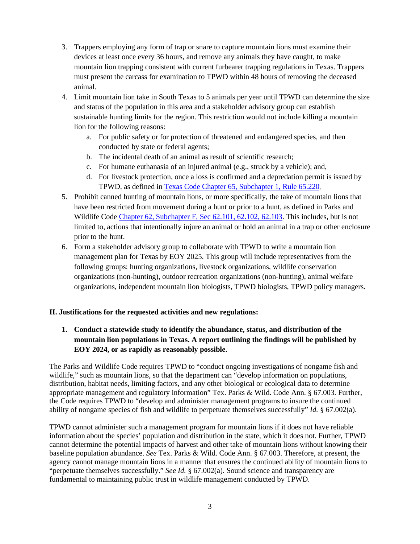- 3. Trappers employing any form of trap or snare to capture mountain lions must examine their devices at least once every 36 hours, and remove any animals they have caught, to make mountain lion trapping consistent with current furbearer trapping regulations in Texas. Trappers must present the carcass for examination to TPWD within 48 hours of removing the deceased animal.
- 4. Limit mountain lion take in South Texas to 5 animals per year until TPWD can determine the size and status of the population in this area and a stakeholder advisory group can establish sustainable hunting limits for the region. This restriction would not include killing a mountain lion for the following reasons:
	- a. For public safety or for protection of threatened and endangered species, and then conducted by state or federal agents;
	- b. The incidental death of an animal as result of scientific research;
	- c. For humane euthanasia of an injured animal (e.g., struck by a vehicle); and,
	- d. For livestock protection, once a loss is confirmed and a depredation permit is issued by TPWD, as defined in [Texas Code Chapter 65, Subchapter 1, Rule 65.220.](https://texreg.sos.state.tx.us/public/readtac$ext.TacPage?sl=R&app=9&p_dir=&p_rloc=&p_tloc=&p_ploc=&pg=1&p_tac=&ti=31&pt=2&ch=65&rl=220)
- 5. Prohibit canned hunting of mountain lions, or more specifically, the take of mountain lions that have been restricted from movement during a hunt or prior to a hunt, as defined in Parks and Wildlife Code [Chapter 62, Subchapter F, Sec 62.101,](https://statutes.capitol.texas.gov/Docs/SDocs/PARKSANDWILDLIFECODE.pdf) 62.102, 62.103. This includes, but is not limited to, actions that intentionally injure an animal or hold an animal in a trap or other enclosure prior to the hunt.
- 6. Form a stakeholder advisory group to collaborate with TPWD to write a mountain lion management plan for Texas by EOY 2025. This group will include representatives from the following groups: hunting organizations, livestock organizations, wildlife conservation organizations (non-hunting), outdoor recreation organizations (non-hunting), animal welfare organizations, independent mountain lion biologists, TPWD biologists, TPWD policy managers.

# **II. Justifications for the requested activities and new regulations:**

# **1. Conduct a statewide study to identify the abundance, status, and distribution of the mountain lion populations in Texas. A report outlining the findings will be published by EOY 2024, or as rapidly as reasonably possible.**

The Parks and Wildlife Code requires TPWD to "conduct ongoing investigations of nongame fish and wildlife," such as mountain lions, so that the department can "develop information on populations, distribution, habitat needs, limiting factors, and any other biological or ecological data to determine appropriate management and regulatory information" Tex. Parks & Wild. Code Ann. § 67.003. Further, the Code requires TPWD to "develop and administer management programs to insure the continued ability of nongame species of fish and wildlife to perpetuate themselves successfully" *Id.* § 67.002(a).

TPWD cannot administer such a management program for mountain lions if it does not have reliable information about the species' population and distribution in the state, which it does not. Further, TPWD cannot determine the potential impacts of harvest and other take of mountain lions without knowing their baseline population abundance. *See* Tex. Parks & Wild. Code Ann. § 67.003. Therefore, at present, the agency cannot manage mountain lions in a manner that ensures the continued ability of mountain lions to "perpetuate themselves successfully." *See Id.* § 67.002(a). Sound science and transparency are fundamental to maintaining public trust in wildlife management conducted by TPWD.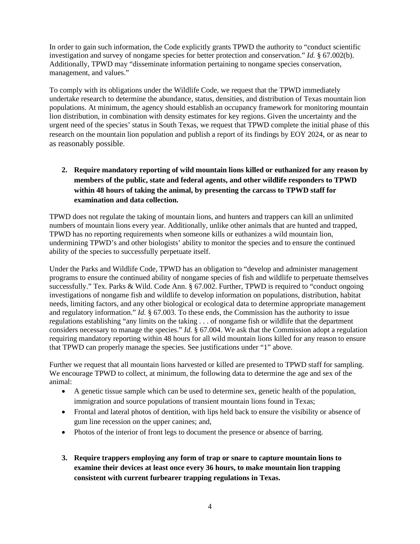In order to gain such information, the Code explicitly grants TPWD the authority to "conduct scientific investigation and survey of nongame species for better protection and conservation." *Id.* § 67.002(b). Additionally, TPWD may "disseminate information pertaining to nongame species conservation, management, and values."

To comply with its obligations under the Wildlife Code, we request that the TPWD immediately undertake research to determine the abundance, status, densities, and distribution of Texas mountain lion populations. At minimum, the agency should establish an occupancy framework for monitoring mountain lion distribution, in combination with density estimates for key regions. Given the uncertainty and the urgent need of the species' status in South Texas, we request that TPWD complete the initial phase of this research on the mountain lion population and publish a report of its findings by EOY 2024, or as near to as reasonably possible.

**2. Require mandatory reporting of wild mountain lions killed or euthanized for any reason by members of the public, state and federal agents, and other wildlife responders to TPWD within 48 hours of taking the animal, by presenting the carcass to TPWD staff for examination and data collection.** 

TPWD does not regulate the taking of mountain lions, and hunters and trappers can kill an unlimited numbers of mountain lions every year. Additionally, unlike other animals that are hunted and trapped, TPWD has no reporting requirements when someone kills or euthanizes a wild mountain lion, undermining TPWD's and other biologists' ability to monitor the species and to ensure the continued ability of the species to successfully perpetuate itself.

Under the Parks and Wildlife Code, TPWD has an obligation to "develop and administer management programs to ensure the continued ability of nongame species of fish and wildlife to perpetuate themselves successfully." Tex. Parks & Wild. Code Ann. § 67.002. Further, TPWD is required to "conduct ongoing investigations of nongame fish and wildlife to develop information on populations, distribution, habitat needs, limiting factors, and any other biological or ecological data to determine appropriate management and regulatory information." *Id.* § 67.003. To these ends, the Commission has the authority to issue regulations establishing "any limits on the taking . . . of nongame fish or wildlife that the department considers necessary to manage the species." *Id.* § 67.004. We ask that the Commission adopt a regulation requiring mandatory reporting within 48 hours for all wild mountain lions killed for any reason to ensure that TPWD can properly manage the species. See justifications under "1" above.

Further we request that all mountain lions harvested or killed are presented to TPWD staff for sampling. We encourage TPWD to collect, at minimum, the following data to determine the age and sex of the animal:

- A genetic tissue sample which can be used to determine sex, genetic health of the population, immigration and source populations of transient mountain lions found in Texas;
- Frontal and lateral photos of dentition, with lips held back to ensure the visibility or absence of gum line recession on the upper canines; and,
- Photos of the interior of front legs to document the presence or absence of barring.
- **3. Require trappers employing any form of trap or snare to capture mountain lions to examine their devices at least once every 36 hours, to make mountain lion trapping consistent with current furbearer trapping regulations in Texas.**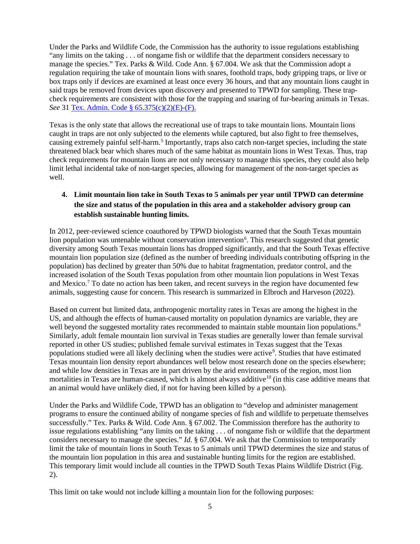Under the Parks and Wildlife Code, the Commission has the authority to issue regulations establishing "any limits on the taking . . . of nongame fish or wildlife that the department considers necessary to manage the species." Tex. Parks & Wild. Code Ann. § 67.004. We ask that the Commission adopt a regulation requiring the take of mountain lions with snares, foothold traps, body gripping traps, or live or box traps only if devices are examined at least once every 36 hours, and that any mountain lions caught in said traps be removed from devices upon discovery and presented to TPWD for sampling. These trapcheck requirements are consistent with those for the trapping and snaring of fur-bearing animals in Texas. *See* 31 [Tex. Admin. Code § 65.375\(c\)\(2\)\(E\)-\(F\).](https://texreg.sos.state.tx.us/public/readtac$ext.TacPage?sl=R&app=9&p_dir=&p_rloc=&p_tloc=&p_ploc=&pg=1&p_tac=&ti=31&pt=2&ch=65&rl=375)

Texas is the only state that allows the recreational use of traps to take mountain lions. Mountain lions caught in traps are not only subjected to the elements while captured, but also fight to free themselves, causing extremely painful self-harm.<sup>[5](#page-6-4)</sup> Importantly, traps also catch non-target species, including the state threatened black bear which shares much of the same habitat as mountain lions in West Texas. Thus, trap check requirements for mountain lions are not only necessary to manage this species, they could also help limit lethal incidental take of non-target species, allowing for management of the non-target species as well.

# **4. Limit mountain lion take in South Texas to 5 animals per year until TPWD can determine the size and status of the population in this area and a stakeholder advisory group can establish sustainable hunting limits.**

In 2012, peer-reviewed science coauthored by TPWD biologists warned that the South Texas mountain lion population was untenable without conservation intervention<sup>[6](#page-6-5)</sup>. This research suggested that genetic diversity among South Texas mountain lions has dropped significantly, and that the South Texas effective mountain lion population size (defined as the number of breeding individuals contributing offspring in the population) has declined by greater than 50% due to habitat fragmentation, predator control, and the increased isolation of the South Texas population from other mountain lion populations in West Texas and Mexico[.7](#page-6-6) To date no action has been taken, and recent surveys in the region have documented few animals, suggesting cause for concern. This research is summarized in Elbroch and Harveson (2022).

Based on current but limited data, anthropogenic mortality rates in Texas are among the highest in the US, and although the effects of human-caused mortality on population dynamics are variable, they are well beyond the suggested mortality rates recommended to maintain stable mountain lion populations.<sup>8</sup> Similarly, adult female mountain lion survival in Texas studies are generally lower than female survival reported in other US studies; published female survival estimates in Texas suggest that the Texas populations studied were all likely declining when the studies were active<sup>[9](#page-6-8)</sup>. Studies that have estimated Texas mountain lion density report abundances well below most research done on the species elsewhere; and while low densities in Texas are in part driven by the arid environments of the region, most lion mortalities in Texas are human-caused, which is almost always additive<sup>10</sup> (in this case additive means that an animal would have unlikely died, if not for having been killed by a person).

Under the Parks and Wildlife Code, TPWD has an obligation to "develop and administer management programs to ensure the continued ability of nongame species of fish and wildlife to perpetuate themselves successfully." Tex. Parks & Wild. Code Ann. § 67.002. The Commission therefore has the authority to issue regulations establishing "any limits on the taking . . . of nongame fish or wildlife that the department considers necessary to manage the species." *Id.* § 67.004. We ask that the Commission to temporarily limit the take of mountain lions in South Texas to 5 animals until TPWD determines the size and status of the mountain lion population in this area and sustainable hunting limits for the region are established. This temporary limit would include all counties in the TPWD South Texas Plains Wildlife District (Fig. 2).

This limit on take would not include killing a mountain lion for the following purposes: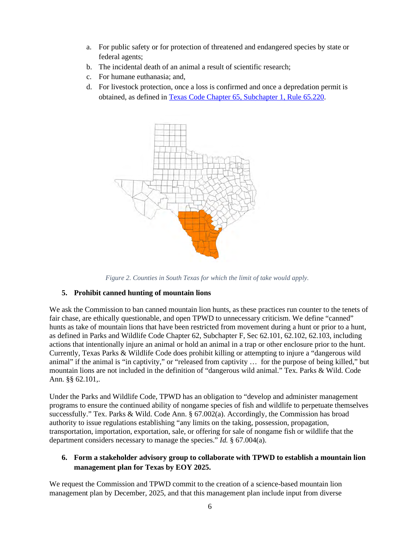- a. For public safety or for protection of threatened and endangered species by state or federal agents;
- b. The incidental death of an animal a result of scientific research;
- c. For humane euthanasia; and,
- d. For livestock protection, once a loss is confirmed and once a depredation permit is obtained, as defined in Texas [Code Chapter 65, Subchapter 1, Rule 65.220.](https://texreg.sos.state.tx.us/public/readtac$ext.TacPage?sl=R&app=9&p_dir=&p_rloc=&p_tloc=&p_ploc=&pg=1&p_tac=&ti=31&pt=2&ch=65&rl=220)



*Figure 2. Counties in South Texas for which the limit of take would apply.*

# **5. Prohibit canned hunting of mountain lions**

We ask the Commission to ban canned mountain lion hunts, as these practices run counter to the tenets of fair chase, are ethically questionable, and open TPWD to unnecessary criticism. We define "canned" hunts as take of mountain lions that have been restricted from movement during a hunt or prior to a hunt, as defined in Parks and Wildlife Code Chapter 62, Subchapter F, Sec 62.101, 62.102, 62.103, including actions that intentionally injure an animal or hold an animal in a trap or other enclosure prior to the hunt. Currently, Texas Parks & Wildlife Code does prohibit killing or attempting to injure a "dangerous wild animal" if the animal is "in captivity," or "released from captivity … for the purpose of being killed," but mountain lions are not included in the definition of "dangerous wild animal." Tex. Parks & Wild. Code Ann. §§ 62.101,.

Under the Parks and Wildlife Code, TPWD has an obligation to "develop and administer management programs to ensure the continued ability of nongame species of fish and wildlife to perpetuate themselves successfully." Tex. Parks & Wild. Code Ann. § 67.002(a). Accordingly, the Commission has broad authority to issue regulations establishing "any limits on the taking, possession, propagation, transportation, importation, exportation, sale, or offering for sale of nongame fish or wildlife that the department considers necessary to manage the species." *Id.* § 67.004(a).

# **6. Form a stakeholder advisory group to collaborate with TPWD to establish a mountain lion management plan for Texas by EOY 2025.**

We request the Commission and TPWD commit to the creation of a science-based mountain lion management plan by December, 2025, and that this management plan include input from diverse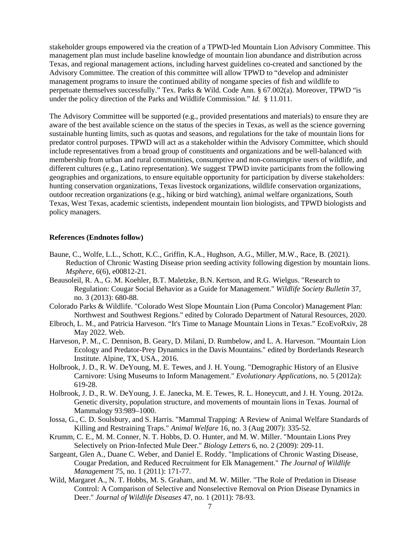<span id="page-6-0"></span>stakeholder groups empowered via the creation of a TPWD-led Mountain Lion Advisory Committee. This management plan must include baseline knowledge of mountain lion abundance and distribution across Texas, and regional management actions, including harvest guidelines co-created and sanctioned by the Advisory Committee. The creation of this committee will allow TPWD to "develop and administer management programs to insure the continued ability of nongame species of fish and wildlife to perpetuate themselves successfully." Tex. Parks & Wild. Code Ann. § 67.002(a). Moreover, TPWD "is under the policy direction of the Parks and Wildlife Commission." *Id.* § 11.011.

<span id="page-6-3"></span><span id="page-6-2"></span><span id="page-6-1"></span>The Advisory Committee will be supported (e.g., provided presentations and materials) to ensure they are aware of the best available science on the status of the species in Texas, as well as the science governing sustainable hunting limits, such as quotas and seasons, and regulations for the take of mountain lions for predator control purposes. TPWD will act as a stakeholder within the Advisory Committee, which should include representatives from a broad group of constituents and organizations and be well-balanced with membership from urban and rural communities, consumptive and non-consumptive users of wildlife, and different cultures (e.g., Latino representation). We suggest TPWD invite participants from the following geographies and organizations, to ensure equitable opportunity for participation by diverse stakeholders: hunting conservation organizations, Texas livestock organizations, wildlife conservation organizations, outdoor recreation organizations (e.g., hiking or bird watching), animal welfare organizations, South Texas, West Texas, academic scientists, independent mountain lion biologists, and TPWD biologists and policy managers.

#### <span id="page-6-5"></span><span id="page-6-4"></span>**References (Endnotes follow)**

- <span id="page-6-6"></span>Baune, C., Wolfe, L.L., Schott, K.C., Griffin, K.A., Hughson, A.G., Miller, M.W., Race, B. (2021). Reduction of Chronic Wasting Disease prion seeding activity following digestion by mountain lions. *Msphere*, *6*(6), e00812-21.
- <span id="page-6-7"></span>Beausoleil, R. A., G. M. Koehler, B.T. Maletzke, B.N. Kertson, and R.G. Wielgus. "Research to Regulation: Cougar Social Behavior as a Guide for Management." *Wildlife Society Bulletin* 37, no. 3 (2013): 680-88.
- <span id="page-6-8"></span>Colorado Parks & Wildlife. "Colorado West Slope Mountain Lion (Puma Concolor) Management Plan: Northwest and Southwest Regions." edited by Colorado Department of Natural Resources, 2020.
- Elbroch, L. M., and Patricia Harveson. "It's Time to Manage Mountain Lions in Texas." EcoEvoRxiv, 28 May 2022. Web.
- <span id="page-6-9"></span>Harveson, P. M., C. Dennison, B. Geary, D. Milani, D. Rumbelow, and L. A. Harveson. "Mountain Lion Ecology and Predator-Prey Dynamics in the Davis Mountains." edited by Borderlands Research Institute. Alpine, TX, USA., 2016.
- Holbrook, J. D., R. W. DeYoung, M. E. Tewes, and J. H. Young. "Demographic History of an Elusive Carnivore: Using Museums to Inform Management." *Evolutionary Applications*, no. 5 (2012a): 619-28.
- Holbrook, J. D., R. W. DeYoung, J. E. Janecka, M. E. Tewes, R. L. Honeycutt, and J. H. Young. 2012a. Genetic diversity, population structure, and movements of mountain lions in Texas. Journal of Mammalogy 93:989–1000.
- Iossa, G., C. D. Soulsbury, and S. Harris. "Mammal Trapping: A Review of Animal Welfare Standards of Killing and Restraining Traps." *Animal Welfare* 16, no. 3 (Aug 2007): 335-52.
- Krumm, C. E., M. M. Conner, N. T. Hobbs, D. O. Hunter, and M. W. Miller. "Mountain Lions Prey Selectively on Prion-Infected Mule Deer." *Biology Letters* 6, no. 2 (2009): 209-11.
- Sargeant, Glen A., Duane C. Weber, and Daniel E. Roddy. "Implications of Chronic Wasting Disease, Cougar Predation, and Reduced Recruitment for Elk Management." *The Journal of Wildlife Management* 75, no. 1 (2011): 171-77.
- Wild, Margaret A., N. T. Hobbs, M. S. Graham, and M. W. Miller. "The Role of Predation in Disease Control: A Comparison of Selective and Nonselective Removal on Prion Disease Dynamics in Deer." *Journal of Wildlife Diseases* 47, no. 1 (2011): 78-93.